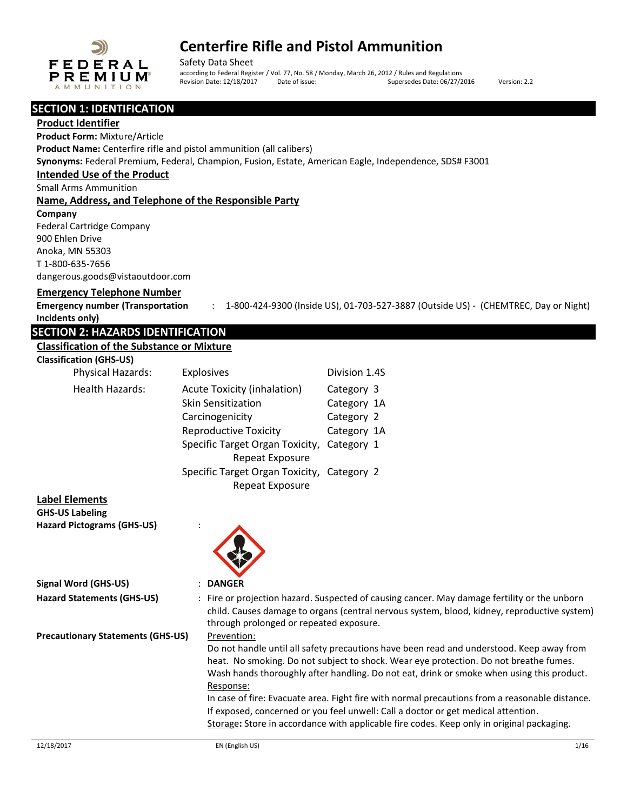

Safety Data Sheet according to Federal Register / Vol. 77, No. 58 / Monday, March 26, 2012 / Rules and Regulations<br>Revision Date: 12/18/2017 Date of issue: Supersedes Date: 06/27/2 Date of issue: Supersedes Date: 06/27/2016 Version: 2.2

### **SECTION 1: IDENTIFICATION**

### **Product Identifier**

**Product Form:** Mixture/Article **Product Name:** Centerfire rifle and pistol ammunition (all calibers) **Synonyms:** Federal Premium, Federal, Champion, Fusion, Estate, American Eagle, Independence, SDS# F3001 **Intended Use of the Product**

#### Small Arms Ammunition

### **Name, Address, and Telephone of the Responsible Party**

**Company** 

Federal Cartridge Company 900 Ehlen Drive Anoka, MN 55303 T 1-800-635-7656 dangerous.goods@vistaoutdoor.com

## **Emergency Telephone Number**

**Emergency number (Transportation Incidents only)** : 1-800-424-9300 (Inside US), 01-703-527-3887 (Outside US) - (CHEMTREC, Day or Night)

## **SECTION 2: HAZARDS IDENTIFICATION**

#### **Classification of the Substance or Mixture**

| <b>Classification (GHS-US)</b> |  |
|--------------------------------|--|
|--------------------------------|--|

| Physical Hazards:      | Explosives                                 | Division 1.4S |
|------------------------|--------------------------------------------|---------------|
| <b>Health Hazards:</b> | <b>Acute Toxicity (inhalation)</b>         | Category 3    |
|                        | <b>Skin Sensitization</b>                  | Category 1A   |
|                        | Carcinogenicity                            | Category 2    |
|                        | <b>Reproductive Toxicity</b>               | Category 1A   |
|                        | Specific Target Organ Toxicity,            | Category 1    |
|                        | Repeat Exposure                            |               |
|                        | Specific Target Organ Toxicity, Category 2 |               |
|                        | Repeat Exposure                            |               |

### **Label Elements**

**GHS-US Labeling Hazard Pictograms (GHS-US)** :



| Signal Word (GHS-US)                     | $:$ DANGER                                                                                                                                                                                                                                                                                                                                                                                                                                                                                                                                                                                     |
|------------------------------------------|------------------------------------------------------------------------------------------------------------------------------------------------------------------------------------------------------------------------------------------------------------------------------------------------------------------------------------------------------------------------------------------------------------------------------------------------------------------------------------------------------------------------------------------------------------------------------------------------|
| <b>Hazard Statements (GHS-US)</b>        | : Fire or projection hazard. Suspected of causing cancer. May damage fertility or the unborn<br>child. Causes damage to organs (central nervous system, blood, kidney, reproductive system)<br>through prolonged or repeated exposure.                                                                                                                                                                                                                                                                                                                                                         |
| <b>Precautionary Statements (GHS-US)</b> | Prevention:<br>Do not handle until all safety precautions have been read and understood. Keep away from<br>heat. No smoking. Do not subject to shock. Wear eye protection. Do not breathe fumes.<br>Wash hands thoroughly after handling. Do not eat, drink or smoke when using this product.<br>Response:<br>In case of fire: Evacuate area. Fight fire with normal precautions from a reasonable distance.<br>If exposed, concerned or you feel unwell: Call a doctor or get medical attention.<br>Storage: Store in accordance with applicable fire codes. Keep only in original packaging. |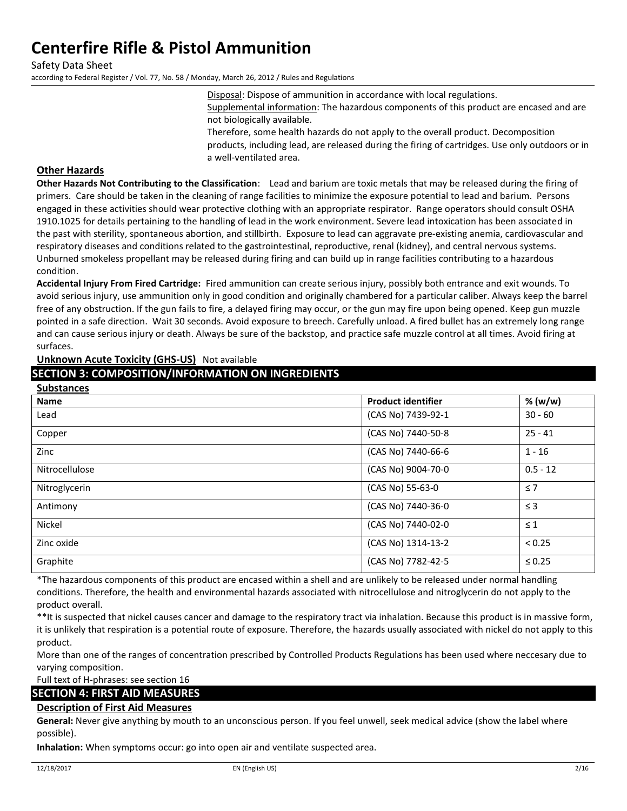Safety Data Sheet according to Federal Register / Vol. 77, No. 58 / Monday, March 26, 2012 / Rules and Regulations

Disposal: Dispose of ammunition in accordance with local regulations.

Supplemental information: The hazardous components of this product are encased and are not biologically available.

Therefore, some health hazards do not apply to the overall product. Decomposition products, including lead, are released during the firing of cartridges. Use only outdoors or in a well-ventilated area.

## **Other Hazards**

**Other Hazards Not Contributing to the Classification**: Lead and barium are toxic metals that may be released during the firing of primers. Care should be taken in the cleaning of range facilities to minimize the exposure potential to lead and barium. Persons engaged in these activities should wear protective clothing with an appropriate respirator. Range operators should consult OSHA 1910.1025 for details pertaining to the handling of lead in the work environment. Severe lead intoxication has been associated in the past with sterility, spontaneous abortion, and stillbirth. Exposure to lead can aggravate pre-existing anemia, cardiovascular and respiratory diseases and conditions related to the gastrointestinal, reproductive, renal (kidney), and central nervous systems. Unburned smokeless propellant may be released during firing and can build up in range facilities contributing to a hazardous condition.

**Accidental Injury From Fired Cartridge:** Fired ammunition can create serious injury, possibly both entrance and exit wounds. To avoid serious injury, use ammunition only in good condition and originally chambered for a particular caliber. Always keep the barrel free of any obstruction. If the gun fails to fire, a delayed firing may occur, or the gun may fire upon being opened. Keep gun muzzle pointed in a safe direction. Wait 30 seconds. Avoid exposure to breech. Carefully unload. A fired bullet has an extremely long range and can cause serious injury or death. Always be sure of the backstop, and practice safe muzzle control at all times. Avoid firing at surfaces.

## **Unknown Acute Toxicity (GHS-US)** Not available

## **SECTION 3: COMPOSITION/INFORMATION ON INGREDIENTS**

| <b>Substances</b> |                           |             |
|-------------------|---------------------------|-------------|
| <b>Name</b>       | <b>Product identifier</b> | % (w/w)     |
| Lead              | (CAS No) 7439-92-1        | $30 - 60$   |
| Copper            | (CAS No) 7440-50-8        | $25 - 41$   |
| Zinc              | (CAS No) 7440-66-6        | $1 - 16$    |
| Nitrocellulose    | (CAS No) 9004-70-0        | $0.5 - 12$  |
| Nitroglycerin     | (CAS No) 55-63-0          | $\leq 7$    |
| Antimony          | (CAS No) 7440-36-0        | $\leq$ 3    |
| Nickel            | (CAS No) 7440-02-0        | $\leq 1$    |
| Zinc oxide        | (CAS No) 1314-13-2        | < 0.25      |
| Graphite          | (CAS No) 7782-42-5        | $\leq 0.25$ |

\*The hazardous components of this product are encased within a shell and are unlikely to be released under normal handling conditions. Therefore, the health and environmental hazards associated with nitrocellulose and nitroglycerin do not apply to the product overall.

\*\*It is suspected that nickel causes cancer and damage to the respiratory tract via inhalation. Because this product is in massive form, it is unlikely that respiration is a potential route of exposure. Therefore, the hazards usually associated with nickel do not apply to this product.

More than one of the ranges of concentration prescribed by Controlled Products Regulations has been used where neccesary due to varying composition.

Full text of H-phrases: see section 16

## **SECTION 4: FIRST AID MEASURES**

## **Description of First Aid Measures**

**General:** Never give anything by mouth to an unconscious person. If you feel unwell, seek medical advice (show the label where possible).

**Inhalation:** When symptoms occur: go into open air and ventilate suspected area.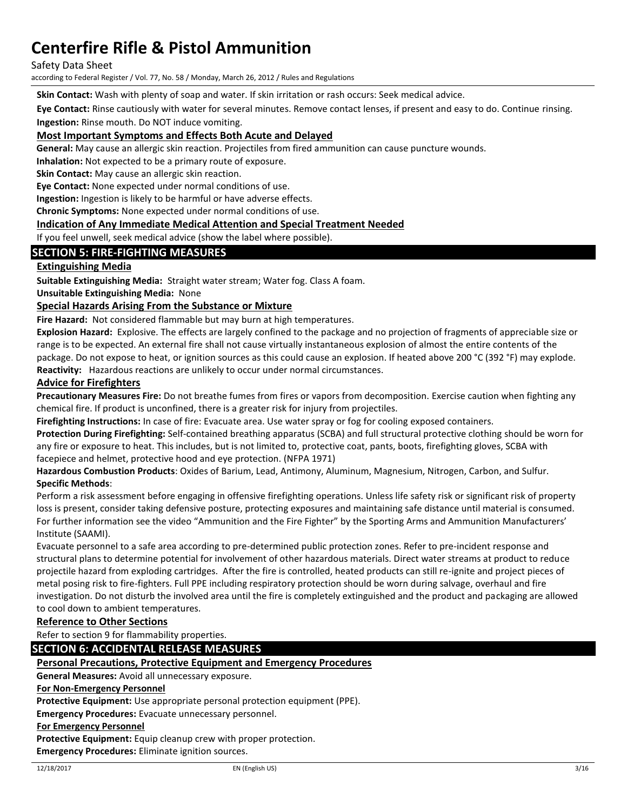Safety Data Sheet

according to Federal Register / Vol. 77, No. 58 / Monday, March 26, 2012 / Rules and Regulations

**Skin Contact:** Wash with plenty of soap and water. If skin irritation or rash occurs: Seek medical advice.

**Eye Contact:** Rinse cautiously with water for several minutes. Remove contact lenses, if present and easy to do. Continue rinsing.

**Ingestion:** Rinse mouth. Do NOT induce vomiting.

### **Most Important Symptoms and Effects Both Acute and Delayed**

**General:** May cause an allergic skin reaction. Projectiles from fired ammunition can cause puncture wounds.

**Inhalation:** Not expected to be a primary route of exposure.

**Skin Contact:** May cause an allergic skin reaction.

**Eye Contact:** None expected under normal conditions of use.

**Ingestion:** Ingestion is likely to be harmful or have adverse effects.

**Chronic Symptoms:** None expected under normal conditions of use.

#### **Indication of Any Immediate Medical Attention and Special Treatment Needed**

If you feel unwell, seek medical advice (show the label where possible).

## **SECTION 5: FIRE-FIGHTING MEASURES**

### **Extinguishing Media**

**Suitable Extinguishing Media:** Straight water stream; Water fog. Class A foam.

**Unsuitable Extinguishing Media:** None

#### **Special Hazards Arising From the Substance or Mixture**

**Fire Hazard:** Not considered flammable but may burn at high temperatures.

**Explosion Hazard:** Explosive. The effects are largely confined to the package and no projection of fragments of appreciable size or range is to be expected. An external fire shall not cause virtually instantaneous explosion of almost the entire contents of the package. Do not expose to heat, or ignition sources as this could cause an explosion. If heated above 200 °C (392 °F) may explode. **Reactivity:** Hazardous reactions are unlikely to occur under normal circumstances.

#### **Advice for Firefighters**

**Precautionary Measures Fire:** Do not breathe fumes from fires or vapors from decomposition. Exercise caution when fighting any chemical fire. If product is unconfined, there is a greater risk for injury from projectiles.

**Firefighting Instructions:** In case of fire: Evacuate area. Use water spray or fog for cooling exposed containers.

**Protection During Firefighting:** Self-contained breathing apparatus (SCBA) and full structural protective clothing should be worn for any fire or exposure to heat. This includes, but is not limited to, protective coat, pants, boots, firefighting gloves, SCBA with facepiece and helmet, protective hood and eye protection. (NFPA 1971)

**Hazardous Combustion Products**: Oxides of Barium, Lead, Antimony, Aluminum, Magnesium, Nitrogen, Carbon, and Sulfur. **Specific Methods**:

Perform a risk assessment before engaging in offensive firefighting operations. Unless life safety risk or significant risk of property loss is present, consider taking defensive posture, protecting exposures and maintaining safe distance until material is consumed. For further information see the video "Ammunition and the Fire Fighter" by the Sporting Arms and Ammunition Manufacturers' Institute (SAAMI).

Evacuate personnel to a safe area according to pre-determined public protection zones. Refer to pre-incident response and structural plans to determine potential for involvement of other hazardous materials. Direct water streams at product to reduce projectile hazard from exploding cartridges. After the fire is controlled, heated products can still re-ignite and project pieces of metal posing risk to fire-fighters. Full PPE including respiratory protection should be worn during salvage, overhaul and fire investigation. Do not disturb the involved area until the fire is completely extinguished and the product and packaging are allowed to cool down to ambient temperatures.

#### **Reference to Other Sections**

Refer to section 9 for flammability properties.

## **SECTION 6: ACCIDENTAL RELEASE MEASURES**

### **Personal Precautions, Protective Equipment and Emergency Procedures**

**General Measures:** Avoid all unnecessary exposure.

#### **For Non-Emergency Personnel**

**Protective Equipment:** Use appropriate personal protection equipment (PPE).

**Emergency Procedures:** Evacuate unnecessary personnel.

#### **For Emergency Personnel**

**Protective Equipment:** Equip cleanup crew with proper protection.

**Emergency Procedures:** Eliminate ignition sources.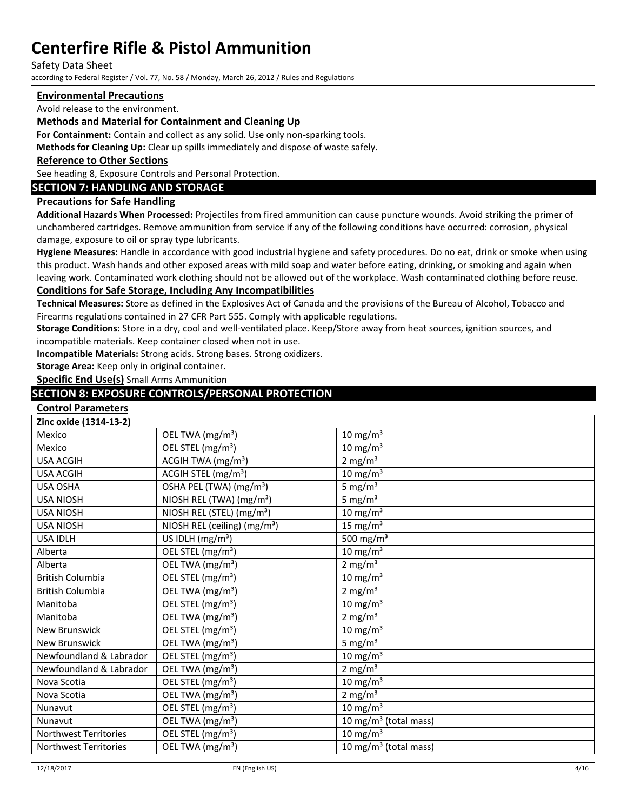Safety Data Sheet

according to Federal Register / Vol. 77, No. 58 / Monday, March 26, 2012 / Rules and Regulations

## **Environmental Precautions**

Avoid release to the environment.

### **Methods and Material for Containment and Cleaning Up**

**For Containment:** Contain and collect as any solid. Use only non-sparking tools.

**Methods for Cleaning Up:** Clear up spills immediately and dispose of waste safely.

#### **Reference to Other Sections**

See heading 8, Exposure Controls and Personal Protection.

## **SECTION 7: HANDLING AND STORAGE**

### **Precautions for Safe Handling**

**Additional Hazards When Processed:** Projectiles from fired ammunition can cause puncture wounds. Avoid striking the primer of unchambered cartridges. Remove ammunition from service if any of the following conditions have occurred: corrosion, physical damage, exposure to oil or spray type lubricants.

**Hygiene Measures:** Handle in accordance with good industrial hygiene and safety procedures. Do no eat, drink or smoke when using this product. Wash hands and other exposed areas with mild soap and water before eating, drinking, or smoking and again when leaving work. Contaminated work clothing should not be allowed out of the workplace. Wash contaminated clothing before reuse.

## **Conditions for Safe Storage, Including Any Incompatibilities**

**Technical Measures:** Store as defined in the Explosives Act of Canada and the provisions of the Bureau of Alcohol, Tobacco and Firearms regulations contained in 27 CFR Part 555. Comply with applicable regulations.

**Storage Conditions:** Store in a dry, cool and well-ventilated place. Keep/Store away from heat sources, ignition sources, and incompatible materials. Keep container closed when not in use.

**Incompatible Materials:** Strong acids. Strong bases. Strong oxidizers.

**Storage Area:** Keep only in original container.

**Specific End Use(s)** Small Arms Ammunition

## **SECTION 8: EXPOSURE CONTROLS/PERSONAL PROTECTION**

### **Control Parameters**

| Zinc oxide (1314-13-2)       |                                          |                                   |
|------------------------------|------------------------------------------|-----------------------------------|
| Mexico                       | OEL TWA (mg/m <sup>3</sup> )             | $10 \text{ mg/m}^3$               |
| Mexico                       | OEL STEL (mg/m <sup>3</sup> )            | $10 \text{ mg/m}^3$               |
| <b>USA ACGIH</b>             | ACGIH TWA (mg/m <sup>3</sup> )           | 2 mg/ $m3$                        |
| <b>USA ACGIH</b>             | ACGIH STEL (mg/m <sup>3</sup> )          | $10 \text{ mg/m}^3$               |
| <b>USA OSHA</b>              | OSHA PEL (TWA) (mg/m <sup>3</sup> )      | 5 mg/ $m3$                        |
| <b>USA NIOSH</b>             | NIOSH REL (TWA) (mg/m <sup>3</sup> )     | 5 mg/ $m3$                        |
| <b>USA NIOSH</b>             | NIOSH REL (STEL) (mg/m <sup>3</sup> )    | $10 \text{ mg/m}^3$               |
| <b>USA NIOSH</b>             | NIOSH REL (ceiling) (mg/m <sup>3</sup> ) | 15 mg/ $m3$                       |
| <b>USA IDLH</b>              | US IDLH (mg/m <sup>3</sup> )             | 500 mg/m $3$                      |
| Alberta                      | OEL STEL (mg/m <sup>3</sup> )            | $10 \text{ mg/m}^3$               |
| Alberta                      | OEL TWA (mg/m <sup>3</sup> )             | 2 mg/ $m3$                        |
| <b>British Columbia</b>      | OEL STEL (mg/m <sup>3</sup> )            | $10 \text{ mg/m}^3$               |
| <b>British Columbia</b>      | OEL TWA (mg/m <sup>3</sup> )             | 2 mg/ $m3$                        |
| Manitoba                     | OEL STEL (mg/m <sup>3</sup> )            | $10 \text{ mg/m}^3$               |
| Manitoba                     | OEL TWA (mg/m <sup>3</sup> )             | $2 \text{ mg/m}^3$                |
| <b>New Brunswick</b>         | OEL STEL (mg/m <sup>3</sup> )            | $10 \text{ mg/m}^3$               |
| <b>New Brunswick</b>         | OEL TWA (mg/m <sup>3</sup> )             | 5 mg/ $m3$                        |
| Newfoundland & Labrador      | OEL STEL (mg/m <sup>3</sup> )            | $10 \text{ mg/m}^3$               |
| Newfoundland & Labrador      | OEL TWA (mg/m <sup>3</sup> )             | 2 mg/ $m3$                        |
| Nova Scotia                  | OEL STEL (mg/m <sup>3</sup> )            | $10 \text{ mg/m}^3$               |
| Nova Scotia                  | OEL TWA (mg/m <sup>3</sup> )             | 2 mg/ $m3$                        |
| Nunavut                      | OEL STEL (mg/m <sup>3</sup> )            | 10 mg/m <sup>3</sup>              |
| Nunavut                      | OEL TWA (mg/m <sup>3</sup> )             | 10 mg/m <sup>3</sup> (total mass) |
| Northwest Territories        | OEL STEL (mg/m <sup>3</sup> )            | $10 \text{ mg/m}^3$               |
| <b>Northwest Territories</b> | OEL TWA (mg/m <sup>3</sup> )             | 10 mg/m $3$ (total mass)          |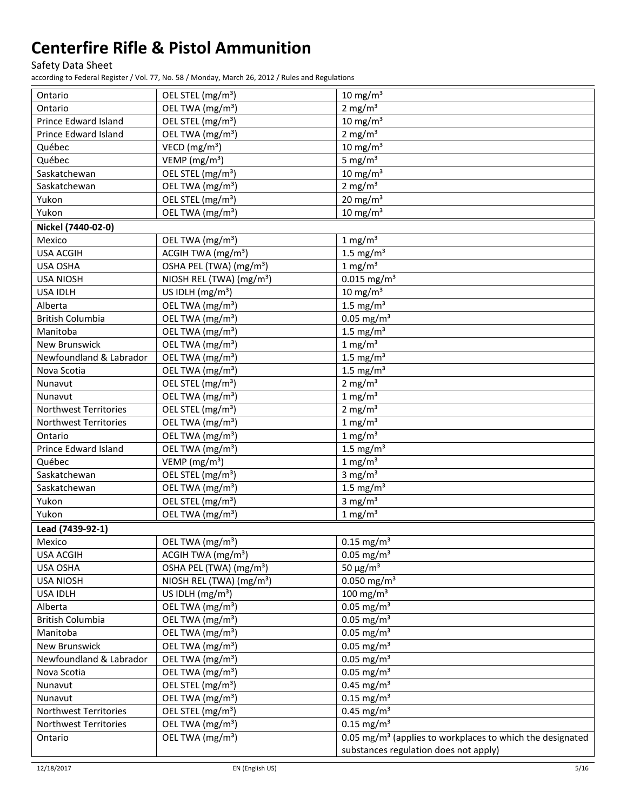Safety Data Sheet

| Ontario                      | OEL STEL (mg/m <sup>3</sup> )                                 | $10 \text{ mg/m}^3$                                                                                            |
|------------------------------|---------------------------------------------------------------|----------------------------------------------------------------------------------------------------------------|
| Ontario                      | OEL TWA (mg/m <sup>3</sup> )                                  | 2 mg/ $m3$                                                                                                     |
| <b>Prince Edward Island</b>  | OEL STEL (mg/m <sup>3</sup> )                                 | $10 \text{ mg/m}^3$                                                                                            |
| Prince Edward Island         | OEL TWA (mg/m <sup>3</sup> )                                  | 2 mg/ $m3$                                                                                                     |
| Québec                       | VECD ( $mg/m3$ )                                              | $10 \text{ mg/m}^3$                                                                                            |
| Québec                       | VEMP (mg/m <sup>3</sup> )                                     | 5 mg/ $m3$                                                                                                     |
| Saskatchewan                 | OEL STEL (mg/m <sup>3</sup> )                                 | $10 \text{ mg/m}^3$                                                                                            |
| Saskatchewan                 | OEL TWA (mg/m <sup>3</sup> )                                  | 2 mg/ $m3$                                                                                                     |
| Yukon                        | OEL STEL (mg/m <sup>3</sup> )                                 | $20 \text{ mg/m}^3$                                                                                            |
| Yukon                        | OEL TWA (mg/m <sup>3</sup> )                                  | $10 \text{ mg/m}^3$                                                                                            |
| Nickel (7440-02-0)           |                                                               |                                                                                                                |
| Mexico                       | OEL TWA (mg/m <sup>3</sup> )                                  | $1 \text{ mg/m}^3$                                                                                             |
| <b>USA ACGIH</b>             | ACGIH TWA (mg/m <sup>3</sup> )                                | 1.5 mg/ $m3$                                                                                                   |
| USA OSHA                     | OSHA PEL (TWA) (mg/m <sup>3</sup> )                           | $1 \text{ mg/m}^3$                                                                                             |
| <b>USA NIOSH</b>             | NIOSH REL (TWA) (mg/m <sup>3</sup> )                          | $0.015$ mg/m <sup>3</sup>                                                                                      |
| <b>USA IDLH</b>              | US IDLH (mg/m <sup>3</sup> )                                  | $10 \text{ mg/m}^3$                                                                                            |
| Alberta                      | OEL TWA (mg/m <sup>3</sup> )                                  | 1.5 mg/ $m3$                                                                                                   |
| <b>British Columbia</b>      | OEL TWA (mg/m <sup>3</sup> )                                  | $0.05$ mg/m <sup>3</sup>                                                                                       |
| Manitoba                     | OEL TWA (mg/m <sup>3</sup> )                                  | 1.5 mg/ $m3$                                                                                                   |
| New Brunswick                | OEL TWA (mg/m <sup>3</sup> )                                  | $1 \text{ mg/m}^3$                                                                                             |
| Newfoundland & Labrador      | OEL TWA (mg/m <sup>3</sup> )                                  | 1.5 mg/ $m3$                                                                                                   |
| Nova Scotia                  | OEL TWA (mg/m <sup>3</sup> )                                  | 1.5 mg/ $m3$                                                                                                   |
| Nunavut                      | OEL STEL (mg/m <sup>3</sup> )                                 | 2 mg/ $m3$                                                                                                     |
| Nunavut                      | OEL TWA (mg/m <sup>3</sup> )                                  | $1$ mg/m <sup>3</sup>                                                                                          |
| Northwest Territories        | OEL STEL (mg/m <sup>3</sup> )                                 | 2 mg/ $m3$                                                                                                     |
| <b>Northwest Territories</b> | OEL TWA (mg/m <sup>3</sup> )                                  | $1 \text{ mg/m}^3$                                                                                             |
| Ontario                      | OEL TWA (mg/m <sup>3</sup> )                                  | $1 \text{ mg/m}^3$                                                                                             |
| Prince Edward Island         | OEL TWA (mg/m <sup>3</sup> )                                  | 1.5 mg/ $m3$                                                                                                   |
| Québec                       | VEMP (mg/m <sup>3</sup> )                                     | $1 \text{ mg/m}^3$                                                                                             |
| Saskatchewan                 | OEL STEL (mg/m <sup>3</sup> )                                 | 3 mg/ $m3$                                                                                                     |
| Saskatchewan                 | OEL TWA (mg/m <sup>3</sup> )                                  | 1.5 mg/ $m3$                                                                                                   |
| Yukon                        | OEL STEL (mg/m <sup>3</sup> )                                 | 3 mg/ $m3$                                                                                                     |
| Yukon                        | OEL TWA (mg/m <sup>3</sup> )                                  | $1 \text{ mg/m}^3$                                                                                             |
| Lead (7439-92-1)             |                                                               |                                                                                                                |
| Mexico                       | OEL TWA (mg/m <sup>3</sup> )                                  | $0.15 \text{ mg/m}^3$                                                                                          |
| <b>USA ACGIH</b>             | ACGIH TWA (mg/m <sup>3</sup> )                                | $0.05$ mg/m <sup>3</sup>                                                                                       |
| USA OSHA                     | OSHA PEL (TWA) (mg/m <sup>3</sup> )                           | $50 \mu g/m^3$                                                                                                 |
| <b>USA NIOSH</b>             | NIOSH REL (TWA) (mg/m <sup>3</sup> )                          | $0.050$ mg/m <sup>3</sup>                                                                                      |
| USA IDLH                     | US IDLH $(mg/m3)$                                             | 100 mg/m <sup>3</sup>                                                                                          |
| Alberta                      | OEL TWA (mg/m <sup>3</sup> )                                  | $0.05$ mg/m <sup>3</sup>                                                                                       |
| <b>British Columbia</b>      | OEL TWA (mg/m <sup>3</sup> )                                  | $0.05$ mg/m <sup>3</sup>                                                                                       |
| Manitoba                     | OEL TWA (mg/m <sup>3</sup> )                                  | $0.05$ mg/m <sup>3</sup>                                                                                       |
| New Brunswick                | OEL TWA (mg/m <sup>3</sup> )                                  | $0.05$ mg/m <sup>3</sup>                                                                                       |
| Newfoundland & Labrador      | OEL TWA (mg/m <sup>3</sup> )                                  | $0.05$ mg/m <sup>3</sup>                                                                                       |
|                              |                                                               | $0.05$ mg/m <sup>3</sup>                                                                                       |
| Nova Scotia<br>Nunavut       | OEL TWA (mg/m <sup>3</sup> )<br>OEL STEL (mg/m <sup>3</sup> ) | $0.45$ mg/m <sup>3</sup>                                                                                       |
|                              | OEL TWA (mg/m <sup>3</sup> )                                  | $0.15$ mg/m <sup>3</sup>                                                                                       |
| Nunavut                      |                                                               | $0.45$ mg/m <sup>3</sup>                                                                                       |
| Northwest Territories        | OEL STEL (mg/m <sup>3</sup> )                                 | $0.15$ mg/m <sup>3</sup>                                                                                       |
| Northwest Territories        | OEL TWA (mg/m <sup>3</sup> )                                  |                                                                                                                |
| Ontario                      | OEL TWA (mg/m <sup>3</sup> )                                  | 0.05 mg/m <sup>3</sup> (applies to workplaces to which the designated<br>substances regulation does not apply) |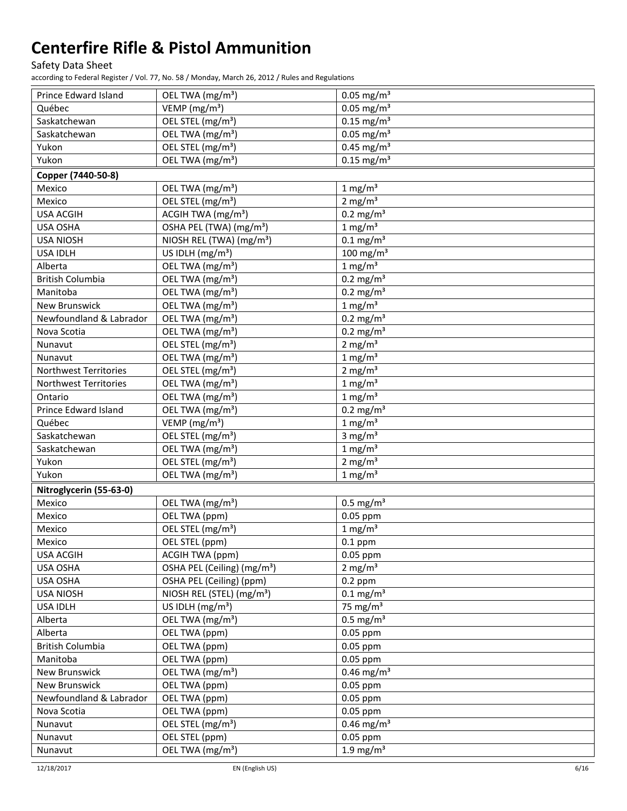Safety Data Sheet

| Prince Edward Island                                  | OEL TWA (mg/m <sup>3</sup> )                                  | $0.05$ mg/m <sup>3</sup>            |
|-------------------------------------------------------|---------------------------------------------------------------|-------------------------------------|
| Québec                                                | VEMP (mg/m <sup>3</sup> )                                     | $0.05$ mg/m <sup>3</sup>            |
| Saskatchewan                                          | OEL STEL (mg/m <sup>3</sup> )                                 | $0.15$ mg/m <sup>3</sup>            |
| Saskatchewan                                          | OEL TWA (mg/m <sup>3</sup> )                                  | $0.05$ mg/m <sup>3</sup>            |
| Yukon                                                 | OEL STEL (mg/m <sup>3</sup> )                                 | $0.45$ mg/m <sup>3</sup>            |
| Yukon                                                 | OEL TWA (mg/m <sup>3</sup> )                                  | $0.15$ mg/m <sup>3</sup>            |
| Copper (7440-50-8)                                    |                                                               |                                     |
| Mexico                                                | OEL TWA (mg/m <sup>3</sup> )                                  | $1 \text{ mg/m}^3$                  |
| Mexico                                                | OEL STEL (mg/m <sup>3</sup> )                                 | $2$ mg/m <sup>3</sup>               |
| <b>USA ACGIH</b>                                      | ACGIH TWA (mg/m <sup>3</sup> )                                | $0.2$ mg/m <sup>3</sup>             |
| <b>USA OSHA</b>                                       | OSHA PEL (TWA) (mg/m <sup>3</sup> )                           | $1 \text{ mg/m}^3$                  |
| <b>USA NIOSH</b>                                      | NIOSH REL (TWA) (mg/m <sup>3</sup> )                          | $0.1$ mg/m <sup>3</sup>             |
| <b>USA IDLH</b>                                       | US IDLH (mg/m <sup>3</sup> )                                  | $100$ mg/m <sup>3</sup>             |
| Alberta                                               | OEL TWA (mg/m <sup>3</sup> )                                  | $1$ mg/m <sup>3</sup>               |
| <b>British Columbia</b>                               | OEL TWA (mg/m <sup>3</sup> )                                  | $0.2 \text{ mg/m}^3$                |
| Manitoba                                              | OEL TWA (mg/m <sup>3</sup> )                                  | $0.2 \text{ mg/m}^3$                |
| New Brunswick                                         | OEL TWA (mg/m <sup>3</sup> )                                  | $1 \text{ mg/m}^3$                  |
| Newfoundland & Labrador                               | OEL TWA (mg/m <sup>3</sup> )                                  | $0.2$ mg/m <sup>3</sup>             |
| Nova Scotia                                           | OEL TWA (mg/m <sup>3</sup> )                                  | $0.2$ mg/m <sup>3</sup>             |
| Nunavut                                               | OEL STEL (mg/m <sup>3</sup> )                                 | 2 mg/ $m3$                          |
| Nunavut                                               | OEL TWA (mg/m <sup>3</sup> )                                  | $1$ mg/m <sup>3</sup>               |
|                                                       |                                                               |                                     |
| Northwest Territories<br><b>Northwest Territories</b> | OEL STEL (mg/m <sup>3</sup> )<br>OEL TWA (mg/m <sup>3</sup> ) | 2 mg/ $m3$<br>$1$ mg/m <sup>3</sup> |
|                                                       |                                                               |                                     |
| Ontario                                               | OEL TWA (mg/m <sup>3</sup> )                                  | $1$ mg/m <sup>3</sup>               |
| Prince Edward Island                                  | OEL TWA (mg/m <sup>3</sup> )                                  | $0.2 \text{ mg/m}^3$                |
| Québec                                                | VEMP (mg/m <sup>3</sup> )                                     | $1$ mg/m <sup>3</sup>               |
| Saskatchewan                                          | OEL STEL (mg/m <sup>3</sup> )                                 | 3 mg/ $m3$                          |
| Saskatchewan                                          | OEL TWA (mg/m <sup>3</sup> )                                  | $1 \text{ mg/m}^3$                  |
| Yukon                                                 | OEL STEL (mg/m <sup>3</sup> )                                 | 2 mg/ $m3$                          |
| Yukon                                                 | OEL TWA (mg/m <sup>3</sup> )                                  | $1 \text{ mg/m}^3$                  |
| Nitroglycerin (55-63-0)                               |                                                               |                                     |
| Mexico                                                | OEL TWA (mg/m <sup>3</sup> )                                  | $0.5$ mg/m <sup>3</sup>             |
| Mexico                                                | OEL TWA (ppm)                                                 | 0.05 ppm                            |
| Mexico                                                | OEL STEL (mg/m <sup>3</sup> )                                 | $1 \text{ mg/m}^3$                  |
| Mexico                                                | OEL STEL (ppm)                                                | $0.1$ ppm                           |
| <b>USA ACGIH</b>                                      | <b>ACGIH TWA (ppm)</b>                                        | $0.05$ ppm                          |
| USA OSHA                                              | OSHA PEL (Ceiling) (mg/m <sup>3</sup> )                       | 2 mg/ $m3$                          |
| USA OSHA                                              | OSHA PEL (Ceiling) (ppm)                                      | $0.2$ ppm                           |
| <b>USA NIOSH</b>                                      | NIOSH REL (STEL) (mg/m <sup>3</sup> )                         | $0.1 \text{ mg/m}^3$                |
| USA IDLH                                              | US IDLH (mg/m <sup>3</sup> )                                  | 75 mg/ $m3$                         |
| Alberta                                               | OEL TWA (mg/m <sup>3</sup> )                                  | $0.5$ mg/m <sup>3</sup>             |
| Alberta                                               | OEL TWA (ppm)                                                 | 0.05 ppm                            |
| <b>British Columbia</b>                               | OEL TWA (ppm)                                                 | 0.05 ppm                            |
| Manitoba                                              | OEL TWA (ppm)                                                 | $0.05$ ppm                          |
| New Brunswick                                         | OEL TWA (mg/m <sup>3</sup> )                                  | $0.46$ mg/m <sup>3</sup>            |
| New Brunswick                                         | OEL TWA (ppm)                                                 | $0.05$ ppm                          |
| Newfoundland & Labrador                               | OEL TWA (ppm)                                                 | 0.05 ppm                            |
| Nova Scotia                                           | OEL TWA (ppm)                                                 | 0.05 ppm                            |
| Nunavut                                               | OEL STEL (mg/m <sup>3</sup> )                                 | $0.46$ mg/m <sup>3</sup>            |
| Nunavut                                               | OEL STEL (ppm)                                                | $0.05$ ppm                          |
| Nunavut                                               | OEL TWA (mg/m <sup>3</sup> )                                  | 1.9 mg/m $3$                        |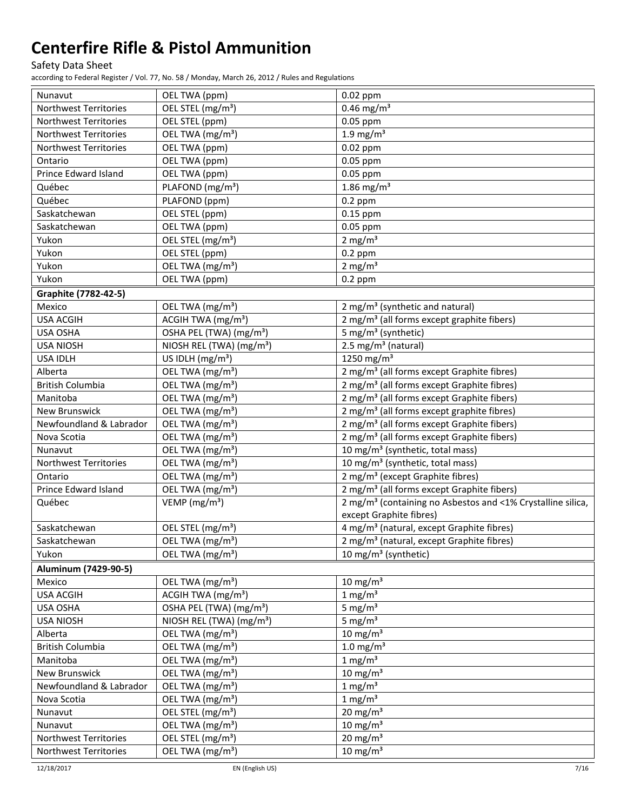Safety Data Sheet

| Nunavut                      | OEL TWA (ppm)                        | $0.02$ ppm                                                              |
|------------------------------|--------------------------------------|-------------------------------------------------------------------------|
| <b>Northwest Territories</b> | OEL STEL (mg/m <sup>3</sup> )        | $0.46$ mg/m <sup>3</sup>                                                |
| Northwest Territories        | OEL STEL (ppm)                       | 0.05 ppm                                                                |
| Northwest Territories        | OEL TWA (mg/m <sup>3</sup> )         | $1.9$ mg/m <sup>3</sup>                                                 |
| Northwest Territories        | OEL TWA (ppm)                        | 0.02 ppm                                                                |
| Ontario                      | OEL TWA (ppm)                        | 0.05 ppm                                                                |
| Prince Edward Island         | OEL TWA (ppm)                        | 0.05 ppm                                                                |
| Québec                       | PLAFOND (mg/m <sup>3</sup> )         | 1.86 mg/ $m3$                                                           |
| Québec                       | PLAFOND (ppm)                        | $0.2$ ppm                                                               |
| Saskatchewan                 | OEL STEL (ppm)                       | $0.15$ ppm                                                              |
| Saskatchewan                 | OEL TWA (ppm)                        | 0.05 ppm                                                                |
| Yukon                        | OEL STEL (mg/m <sup>3</sup> )        | 2 mg/ $m3$                                                              |
| Yukon                        | OEL STEL (ppm)                       | $0.2$ ppm                                                               |
| Yukon                        | OEL TWA (mg/m <sup>3</sup> )         | 2 mg/ $m3$                                                              |
| Yukon                        | OEL TWA (ppm)                        | $0.2$ ppm                                                               |
| Graphite (7782-42-5)         |                                      |                                                                         |
| Mexico                       | OEL TWA (mg/m <sup>3</sup> )         | 2 mg/m <sup>3</sup> (synthetic and natural)                             |
| <b>USA ACGIH</b>             | ACGIH TWA (mg/m <sup>3</sup> )       | 2 mg/m <sup>3</sup> (all forms except graphite fibers)                  |
| <b>USA OSHA</b>              | OSHA PEL (TWA) (mg/m <sup>3</sup> )  | 5 mg/m <sup>3</sup> (synthetic)                                         |
| <b>USA NIOSH</b>             | NIOSH REL (TWA) (mg/m <sup>3</sup> ) | 2.5 mg/m <sup>3</sup> (natural)                                         |
| <b>USA IDLH</b>              | US IDLH $(mg/m3)$                    | 1250 mg/m <sup>3</sup>                                                  |
| Alberta                      | OEL TWA (mg/m <sup>3</sup> )         | 2 mg/m <sup>3</sup> (all forms except Graphite fibres)                  |
| <b>British Columbia</b>      | OEL TWA (mg/m <sup>3</sup> )         | 2 mg/m <sup>3</sup> (all forms except Graphite fibres)                  |
| Manitoba                     | OEL TWA (mg/m <sup>3</sup> )         | 2 mg/m <sup>3</sup> (all forms except Graphite fibers)                  |
| <b>New Brunswick</b>         | OEL TWA (mg/m <sup>3</sup> )         | 2 mg/m <sup>3</sup> (all forms except graphite fibres)                  |
| Newfoundland & Labrador      | OEL TWA (mg/m <sup>3</sup> )         | 2 mg/m <sup>3</sup> (all forms except Graphite fibers)                  |
| Nova Scotia                  | OEL TWA (mg/m <sup>3</sup> )         | 2 mg/m <sup>3</sup> (all forms except Graphite fibers)                  |
| Nunavut                      | OEL TWA (mg/m <sup>3</sup> )         | 10 mg/m <sup>3</sup> (synthetic, total mass)                            |
| Northwest Territories        | OEL TWA (mg/m <sup>3</sup> )         | 10 mg/m <sup>3</sup> (synthetic, total mass)                            |
| Ontario                      | OEL TWA (mg/m <sup>3</sup> )         | 2 mg/m <sup>3</sup> (except Graphite fibres)                            |
| Prince Edward Island         | OEL TWA (mg/m <sup>3</sup> )         | 2 mg/m <sup>3</sup> (all forms except Graphite fibers)                  |
| Québec                       | VEMP ( $mg/m3$ )                     | 2 mg/m <sup>3</sup> (containing no Asbestos and <1% Crystalline silica, |
|                              |                                      | except Graphite fibres)                                                 |
| Saskatchewan                 | OEL STEL (mg/m <sup>3</sup> )        | 4 mg/m <sup>3</sup> (natural, except Graphite fibres)                   |
| Saskatchewan                 | OEL TWA (mg/m <sup>3</sup> )         | 2 mg/m <sup>3</sup> (natural, except Graphite fibres)                   |
| Yukon                        | OEL TWA (mg/m <sup>3</sup> )         | 10 mg/m <sup>3</sup> (synthetic)                                        |
| Aluminum (7429-90-5)         |                                      |                                                                         |
| Mexico                       | OEL TWA (mg/m <sup>3</sup> )         | $10 \text{ mg/m}^3$                                                     |
| <b>USA ACGIH</b>             | ACGIH TWA (mg/m <sup>3</sup> )       | $1 \text{ mg/m}^3$                                                      |
| USA OSHA                     | OSHA PEL (TWA) (mg/m <sup>3</sup> )  | 5 mg/ $m3$                                                              |
| <b>USA NIOSH</b>             | NIOSH REL (TWA) (mg/m <sup>3</sup> ) | 5 mg/ $m3$                                                              |
| Alberta                      | OEL TWA (mg/m <sup>3</sup> )         | $10 \text{ mg/m}^3$                                                     |
| <b>British Columbia</b>      | OEL TWA (mg/m <sup>3</sup> )         | $1.0$ mg/m <sup>3</sup>                                                 |
| Manitoba                     | OEL TWA (mg/m <sup>3</sup> )         | $1$ mg/m <sup>3</sup>                                                   |
| New Brunswick                | OEL TWA (mg/m <sup>3</sup> )         | $10 \text{ mg/m}^3$                                                     |
| Newfoundland & Labrador      | OEL TWA (mg/m <sup>3</sup> )         | $1 \text{ mg/m}^3$                                                      |
| Nova Scotia                  | OEL TWA (mg/m <sup>3</sup> )         | $1$ mg/m <sup>3</sup>                                                   |
| Nunavut                      | OEL STEL (mg/m <sup>3</sup> )        | $20$ mg/m <sup>3</sup>                                                  |
| Nunavut                      | OEL TWA (mg/m <sup>3</sup> )         | $10 \text{ mg/m}^3$                                                     |
| Northwest Territories        | OEL STEL (mg/m <sup>3</sup> )        | $20 \text{ mg/m}^3$                                                     |
| Northwest Territories        | OEL TWA (mg/m <sup>3</sup> )         | $10 \text{ mg/m}^3$                                                     |
|                              |                                      |                                                                         |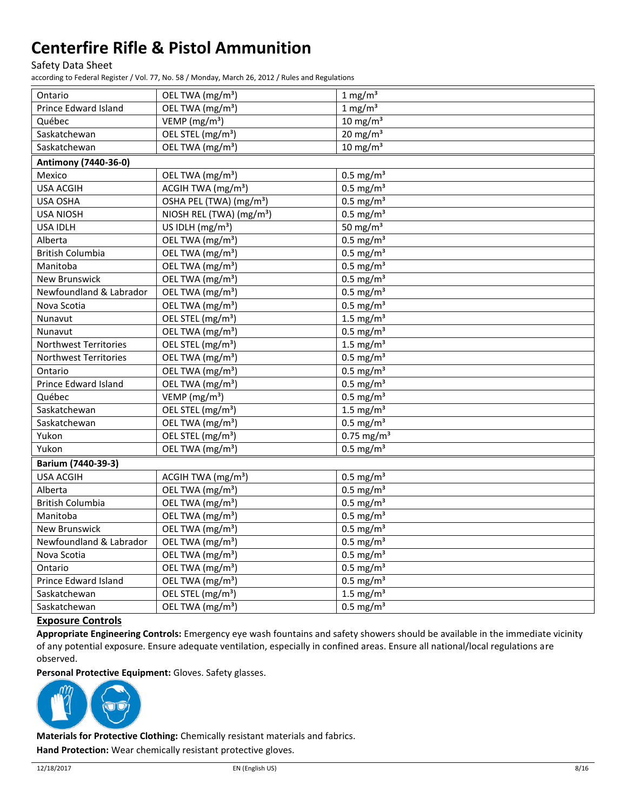Safety Data Sheet

according to Federal Register / Vol. 77, No. 58 / Monday, March 26, 2012 / Rules and Regulations

| Ontario                 | OEL TWA (mg/m <sup>3</sup> )         | $1 \text{ mg/m}^3$       |  |
|-------------------------|--------------------------------------|--------------------------|--|
| Prince Edward Island    | OEL TWA (mg/m <sup>3</sup> )         | $1 \text{ mg/m}^3$       |  |
| Québec                  | VEMP (mg/m <sup>3</sup> )            | $10 \text{ mg/m}^3$      |  |
| Saskatchewan            | OEL STEL (mg/m <sup>3</sup> )        | $20$ mg/m <sup>3</sup>   |  |
| Saskatchewan            | OEL TWA (mg/m <sup>3</sup> )         | $10 \text{ mg/m}^3$      |  |
| Antimony (7440-36-0)    |                                      |                          |  |
| Mexico                  | OEL TWA (mg/m <sup>3</sup> )         | $0.5$ mg/m <sup>3</sup>  |  |
| <b>USA ACGIH</b>        | ACGIH TWA (mg/m <sup>3</sup> )       | $0.5$ mg/m <sup>3</sup>  |  |
| USA OSHA                | OSHA PEL (TWA) (mg/m <sup>3</sup> )  | $0.5 \text{ mg/m}^3$     |  |
| <b>USA NIOSH</b>        | NIOSH REL (TWA) (mg/m <sup>3</sup> ) | $0.5$ mg/m <sup>3</sup>  |  |
| <b>USA IDLH</b>         | US IDLH $(mg/m3)$                    | 50 mg/m $3$              |  |
| Alberta                 | OEL TWA (mg/m <sup>3</sup> )         | $0.5 \text{ mg/m}^3$     |  |
| <b>British Columbia</b> | OEL TWA (mg/m <sup>3</sup> )         | $0.5$ mg/m <sup>3</sup>  |  |
| Manitoba                | OEL TWA (mg/m <sup>3</sup> )         | $0.5$ mg/m <sup>3</sup>  |  |
| New Brunswick           | OEL TWA (mg/m <sup>3</sup> )         | $0.5$ mg/m <sup>3</sup>  |  |
| Newfoundland & Labrador | OEL TWA (mg/m <sup>3</sup> )         | $0.5$ mg/m <sup>3</sup>  |  |
| Nova Scotia             | OEL TWA (mg/m <sup>3</sup> )         | $0.5$ mg/m <sup>3</sup>  |  |
| Nunavut                 | OEL STEL (mg/m <sup>3</sup> )        | 1.5 mg/ $m3$             |  |
| Nunavut                 | OEL TWA (mg/m <sup>3</sup> )         | $0.5$ mg/m <sup>3</sup>  |  |
| Northwest Territories   | OEL STEL (mg/m <sup>3</sup> )        | 1.5 mg/ $m3$             |  |
| Northwest Territories   | OEL TWA (mg/m <sup>3</sup> )         | $0.5$ mg/m <sup>3</sup>  |  |
| Ontario                 | OEL TWA (mg/m <sup>3</sup> )         | $0.5$ mg/m <sup>3</sup>  |  |
| Prince Edward Island    | OEL TWA (mg/m <sup>3</sup> )         | $0.5 \text{ mg/m}^3$     |  |
| Québec                  | VEMP ( $mg/m3$ )                     | $0.5$ mg/m <sup>3</sup>  |  |
| Saskatchewan            | OEL STEL (mg/m <sup>3</sup> )        | 1.5 mg/ $m3$             |  |
| Saskatchewan            | OEL TWA (mg/m <sup>3</sup> )         | $0.5$ mg/m <sup>3</sup>  |  |
| Yukon                   | OEL STEL (mg/m <sup>3</sup> )        | $0.75$ mg/m <sup>3</sup> |  |
| Yukon                   | OEL TWA (mg/m <sup>3</sup> )         | $0.5$ mg/m <sup>3</sup>  |  |
| Barium (7440-39-3)      |                                      |                          |  |
| <b>USA ACGIH</b>        | ACGIH TWA (mg/m <sup>3</sup> )       | $0.5$ mg/m <sup>3</sup>  |  |
| Alberta                 | OEL TWA (mg/m <sup>3</sup> )         | $0.5 \text{ mg/m}^3$     |  |
| <b>British Columbia</b> | OEL TWA (mg/m <sup>3</sup> )         | $0.5$ mg/m <sup>3</sup>  |  |
| Manitoba                | OEL TWA (mg/m <sup>3</sup> )         | $0.5$ mg/m <sup>3</sup>  |  |
| <b>New Brunswick</b>    | OEL TWA (mg/m <sup>3</sup> )         | $0.5$ mg/m <sup>3</sup>  |  |
| Newfoundland & Labrador | OEL TWA (mg/m <sup>3</sup> )         | $0.5$ mg/m <sup>3</sup>  |  |
| Nova Scotia             | OEL TWA (mg/m <sup>3</sup> )         | $0.5$ mg/m <sup>3</sup>  |  |
| Ontario                 | OEL TWA (mg/m <sup>3</sup> )         | $0.5$ mg/m <sup>3</sup>  |  |
| Prince Edward Island    | OEL TWA (mg/m <sup>3</sup> )         | $0.5$ mg/m <sup>3</sup>  |  |
| Saskatchewan            | OEL STEL (mg/m <sup>3</sup> )        | 1.5 mg/ $m3$             |  |
| Saskatchewan            | OEL TWA (mg/m <sup>3</sup> )         | $0.5$ mg/m <sup>3</sup>  |  |

### **Exposure Controls**

**Appropriate Engineering Controls:** Emergency eye wash fountains and safety showers should be available in the immediate vicinity of any potential exposure. Ensure adequate ventilation, especially in confined areas. Ensure all national/local regulations are observed.

**Personal Protective Equipment:** Gloves. Safety glasses.



**Materials for Protective Clothing:** Chemically resistant materials and fabrics. **Hand Protection:** Wear chemically resistant protective gloves.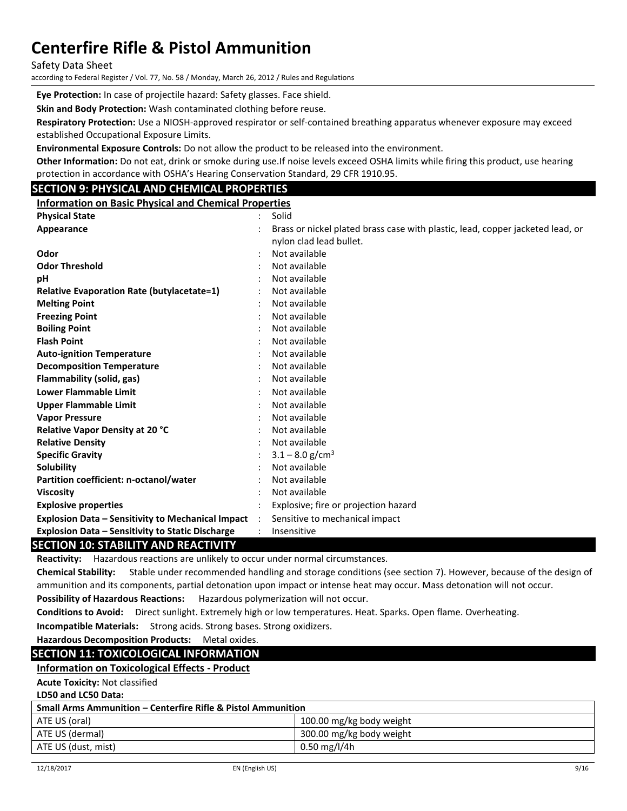Safety Data Sheet

according to Federal Register / Vol. 77, No. 58 / Monday, March 26, 2012 / Rules and Regulations

**Eye Protection:** In case of projectile hazard: Safety glasses. Face shield.

**Skin and Body Protection:** Wash contaminated clothing before reuse.

**Respiratory Protection:** Use a NIOSH-approved respirator or self-contained breathing apparatus whenever exposure may exceed established Occupational Exposure Limits.

**Environmental Exposure Controls:** Do not allow the product to be released into the environment.

**Other Information:** Do not eat, drink or smoke during use.If noise levels exceed OSHA limits while firing this product, use hearing protection in accordance with OSHA's Hearing Conservation Standard, 29 CFR 1910.95.

## **SECTION 9: PHYSICAL AND CHEMICAL PROPERTIES**

**Information on Basic Physical and Chemical Properties**

| <b>Physical State</b>                                    |                      | Solid                                                                          |
|----------------------------------------------------------|----------------------|--------------------------------------------------------------------------------|
| Appearance                                               |                      | Brass or nickel plated brass case with plastic, lead, copper jacketed lead, or |
|                                                          |                      | nylon clad lead bullet.                                                        |
| Odor                                                     |                      | Not available                                                                  |
| <b>Odor Threshold</b>                                    |                      | Not available                                                                  |
| рH                                                       |                      | Not available                                                                  |
| <b>Relative Evaporation Rate (butylacetate=1)</b>        |                      | Not available                                                                  |
| <b>Melting Point</b>                                     |                      | Not available                                                                  |
| <b>Freezing Point</b>                                    |                      | Not available                                                                  |
| <b>Boiling Point</b>                                     |                      | Not available                                                                  |
| <b>Flash Point</b>                                       |                      | Not available                                                                  |
| <b>Auto-ignition Temperature</b>                         |                      | Not available                                                                  |
| <b>Decomposition Temperature</b>                         |                      | Not available                                                                  |
| Flammability (solid, gas)                                |                      | Not available                                                                  |
| <b>Lower Flammable Limit</b>                             |                      | Not available                                                                  |
| <b>Upper Flammable Limit</b>                             |                      | Not available                                                                  |
| <b>Vapor Pressure</b>                                    |                      | Not available                                                                  |
| Relative Vapor Density at 20 °C                          |                      | Not available                                                                  |
| <b>Relative Density</b>                                  |                      | Not available                                                                  |
| <b>Specific Gravity</b>                                  |                      | $3.1 - 8.0$ g/cm <sup>3</sup>                                                  |
| <b>Solubility</b>                                        |                      | Not available                                                                  |
| Partition coefficient: n-octanol/water                   |                      | Not available                                                                  |
| <b>Viscosity</b>                                         |                      | Not available                                                                  |
| <b>Explosive properties</b>                              |                      | Explosive; fire or projection hazard                                           |
| <b>Explosion Data - Sensitivity to Mechanical Impact</b> | $\ddot{\phantom{a}}$ | Sensitive to mechanical impact                                                 |
| <b>Explosion Data - Sensitivity to Static Discharge</b>  |                      | Insensitive                                                                    |

### **SECTION 10: STABILITY AND REACTIVITY**

**Reactivity:** Hazardous reactions are unlikely to occur under normal circumstances.

**Chemical Stability:** Stable under recommended handling and storage conditions (see section 7). However, because of the design of ammunition and its components, partial detonation upon impact or intense heat may occur. Mass detonation will not occur.

**Possibility of Hazardous Reactions:** Hazardous polymerization will not occur.

**Conditions to Avoid:** Direct sunlight. Extremely high or low temperatures. Heat. Sparks. Open flame. Overheating.

**Incompatible Materials:** Strong acids. Strong bases. Strong oxidizers.

#### **Hazardous Decomposition Products:** Metal oxides.

### **SECTION 11: TOXICOLOGICAL INFORMATION**

#### **Information on Toxicological Effects - Product**

**Acute Toxicity:** Not classified

**LD50 and LC50 Data:**

| <b>Small Arms Ammunition – Centerfire Rifle &amp; Pistol Ammunition</b> |                          |  |  |
|-------------------------------------------------------------------------|--------------------------|--|--|
| ATE US (oral)                                                           | 100.00 mg/kg body weight |  |  |
| ATE US (dermal)                                                         | 300.00 mg/kg body weight |  |  |
| 0.50 mg/l/4h<br>ATE US (dust, mist)                                     |                          |  |  |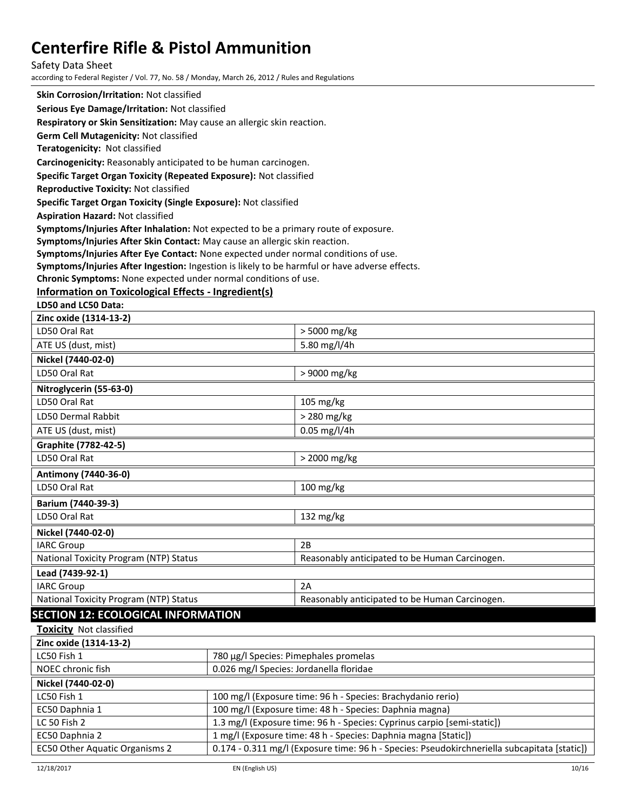#### Safety Data Sheet

according to Federal Register / Vol. 77, No. 58 / Monday, March 26, 2012 / Rules and Regulations

**Skin Corrosion/Irritation:** Not classified

**Serious Eye Damage/Irritation:** Not classified

**Respiratory or Skin Sensitization:** May cause an allergic skin reaction.

**Germ Cell Mutagenicity:** Not classified

**Teratogenicity:** Not classified

**Carcinogenicity:** Reasonably anticipated to be human carcinogen.

#### **Specific Target Organ Toxicity (Repeated Exposure):** Not classified

**Reproductive Toxicity:** Not classified

**Specific Target Organ Toxicity (Single Exposure):** Not classified

**Aspiration Hazard:** Not classified

**Symptoms/Injuries After Inhalation:** Not expected to be a primary route of exposure.

**Symptoms/Injuries After Skin Contact:** May cause an allergic skin reaction.

**Symptoms/Injuries After Eye Contact:** None expected under normal conditions of use.

**Symptoms/Injuries After Ingestion:** Ingestion is likely to be harmful or have adverse effects.

**Chronic Symptoms:** None expected under normal conditions of use.

### **Information on Toxicological Effects - Ingredient(s)**

**LD50 and LC50 Data:**

| Zinc oxide (1314-13-2)                                       |  |                                                                         |
|--------------------------------------------------------------|--|-------------------------------------------------------------------------|
| LD50 Oral Rat                                                |  | > 5000 mg/kg                                                            |
| ATE US (dust, mist)                                          |  | 5.80 mg/l/4h                                                            |
| Nickel (7440-02-0)                                           |  |                                                                         |
| LD50 Oral Rat                                                |  | > 9000 mg/kg                                                            |
| Nitroglycerin (55-63-0)                                      |  |                                                                         |
| LD50 Oral Rat                                                |  | 105 mg/kg                                                               |
| LD50 Dermal Rabbit                                           |  | > 280 mg/kg                                                             |
| ATE US (dust, mist)                                          |  | $0.05$ mg/l/4h                                                          |
| <b>Graphite (7782-42-5)</b>                                  |  |                                                                         |
| LD50 Oral Rat                                                |  | > 2000 mg/kg                                                            |
| Antimony (7440-36-0)                                         |  |                                                                         |
| LD50 Oral Rat                                                |  | 100 mg/kg                                                               |
| Barium (7440-39-3)                                           |  |                                                                         |
| LD50 Oral Rat                                                |  | 132 mg/kg                                                               |
| Nickel (7440-02-0)                                           |  |                                                                         |
| <b>IARC Group</b>                                            |  | 2B                                                                      |
| National Toxicity Program (NTP) Status                       |  | Reasonably anticipated to be Human Carcinogen.                          |
| Lead (7439-92-1)                                             |  |                                                                         |
| <b>IARC Group</b>                                            |  | 2A                                                                      |
| National Toxicity Program (NTP) Status                       |  | Reasonably anticipated to be Human Carcinogen.                          |
| <b>SECTION 12: ECOLOGICAL INFORMATION</b>                    |  |                                                                         |
| Toxicity Not classified                                      |  |                                                                         |
| Zinc oxide (1314-13-2)                                       |  |                                                                         |
| 780 μg/l Species: Pimephales promelas<br>LC50 Fish 1         |  |                                                                         |
| 0.026 mg/l Species: Jordanella floridae<br>NOEC chronic fish |  |                                                                         |
| Nickel (7440-02-0)                                           |  |                                                                         |
| LC50 Fish 1                                                  |  | 100 mg/l (Exposure time: 96 h - Species: Brachydanio rerio)             |
| EC50 Daphnia 1                                               |  | 100 mg/l (Exposure time: 48 h - Species: Daphnia magna)                 |
| LC 50 Fish 2                                                 |  | 1.3 mg/l (Exposure time: 96 h - Species: Cyprinus carpio [semi-static]) |

EC50 Other Aquatic Organisms 2 | 0.174 - 0.311 mg/l (Exposure time: 96 h - Species: Pseudokirchneriella subcapitata [static])

EC50 Daphnia 2 1 mg/l (Exposure time: 48 h - Species: Daphnia magna [Static])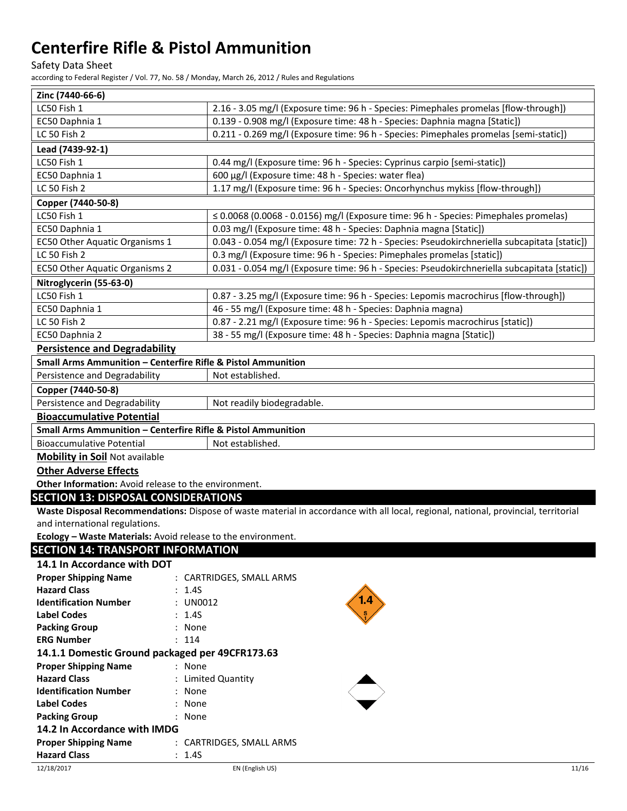Safety Data Sheet

according to Federal Register / Vol. 77, No. 58 / Monday, March 26, 2012 / Rules and Regulations

| Zinc (7440-66-6)                                                        |                                                                                                                                     |  |
|-------------------------------------------------------------------------|-------------------------------------------------------------------------------------------------------------------------------------|--|
| LC50 Fish 1                                                             | 2.16 - 3.05 mg/l (Exposure time: 96 h - Species: Pimephales promelas [flow-through])                                                |  |
| EC50 Daphnia 1                                                          | 0.139 - 0.908 mg/l (Exposure time: 48 h - Species: Daphnia magna [Static])                                                          |  |
| LC 50 Fish 2                                                            | 0.211 - 0.269 mg/l (Exposure time: 96 h - Species: Pimephales promelas [semi-static])                                               |  |
| Lead (7439-92-1)                                                        |                                                                                                                                     |  |
| LC50 Fish 1                                                             | 0.44 mg/l (Exposure time: 96 h - Species: Cyprinus carpio [semi-static])                                                            |  |
| EC50 Daphnia 1                                                          | 600 µg/l (Exposure time: 48 h - Species: water flea)                                                                                |  |
| LC 50 Fish 2                                                            | 1.17 mg/l (Exposure time: 96 h - Species: Oncorhynchus mykiss [flow-through])                                                       |  |
| Copper (7440-50-8)                                                      |                                                                                                                                     |  |
| LC50 Fish 1                                                             | $\leq$ 0.0068 (0.0068 - 0.0156) mg/l (Exposure time: 96 h - Species: Pimephales promelas)                                           |  |
| EC50 Daphnia 1                                                          | 0.03 mg/l (Exposure time: 48 h - Species: Daphnia magna [Static])                                                                   |  |
| EC50 Other Aquatic Organisms 1                                          | 0.043 - 0.054 mg/l (Exposure time: 72 h - Species: Pseudokirchneriella subcapitata [static])                                        |  |
| LC 50 Fish 2                                                            | 0.3 mg/l (Exposure time: 96 h - Species: Pimephales promelas [static])                                                              |  |
| EC50 Other Aquatic Organisms 2                                          | 0.031 - 0.054 mg/l (Exposure time: 96 h - Species: Pseudokirchneriella subcapitata [static])                                        |  |
| Nitroglycerin (55-63-0)                                                 |                                                                                                                                     |  |
| LC50 Fish 1                                                             | 0.87 - 3.25 mg/l (Exposure time: 96 h - Species: Lepomis macrochirus [flow-through])                                                |  |
| EC50 Daphnia 1                                                          | 46 - 55 mg/l (Exposure time: 48 h - Species: Daphnia magna)                                                                         |  |
| LC 50 Fish 2                                                            | 0.87 - 2.21 mg/l (Exposure time: 96 h - Species: Lepomis macrochirus [static])                                                      |  |
| EC50 Daphnia 2                                                          | 38 - 55 mg/l (Exposure time: 48 h - Species: Daphnia magna [Static])                                                                |  |
| <b>Persistence and Degradability</b>                                    |                                                                                                                                     |  |
| Small Arms Ammunition - Centerfire Rifle & Pistol Ammunition            |                                                                                                                                     |  |
| Persistence and Degradability                                           | Not established.                                                                                                                    |  |
| Copper (7440-50-8)                                                      |                                                                                                                                     |  |
| Persistence and Degradability                                           | Not readily biodegradable.                                                                                                          |  |
| <b>Bioaccumulative Potential</b>                                        |                                                                                                                                     |  |
| <b>Small Arms Ammunition - Centerfire Rifle &amp; Pistol Ammunition</b> |                                                                                                                                     |  |
| <b>Bioaccumulative Potential</b>                                        | Not established.                                                                                                                    |  |
| <b>Mobility in Soil Not available</b>                                   |                                                                                                                                     |  |
| <b>Other Adverse Effects</b>                                            |                                                                                                                                     |  |
| Other Information: Avoid release to the environment.                    |                                                                                                                                     |  |
| <b>SECTION 13: DISPOSAL CONSIDERATIONS</b>                              |                                                                                                                                     |  |
|                                                                         | Waste Disposal Recommendations: Dispose of waste material in accordance with all local, regional, national, provincial, territorial |  |
| and international regulations.                                          |                                                                                                                                     |  |
| Ecology - Waste Materials: Avoid release to the environment.            |                                                                                                                                     |  |
| <b>SECTION 14: TRANSPORT INFORMATION</b>                                |                                                                                                                                     |  |
| 14.1 In Accordance with DOT                                             |                                                                                                                                     |  |
| <b>Proper Shipping Name</b>                                             | : CARTRIDGES, SMALL ARMS                                                                                                            |  |
| <b>Hazard Class</b><br>: 1.4S                                           |                                                                                                                                     |  |
| <b>Identification Number</b><br>UN0012                                  |                                                                                                                                     |  |
| <b>Label Codes</b><br>: 1.45                                            |                                                                                                                                     |  |
| <b>Packing Group</b><br>: None                                          |                                                                                                                                     |  |
| <b>ERG Number</b><br>: 114                                              |                                                                                                                                     |  |
| 14.1.1 Domestic Ground packaged per 49CFR173.63                         |                                                                                                                                     |  |
| <b>Proper Shipping Name</b><br>: None                                   |                                                                                                                                     |  |
| <b>Hazard Class</b>                                                     | : Limited Quantity                                                                                                                  |  |

| <b>ERG MUTHDEL</b>                       | . 114           |
|------------------------------------------|-----------------|
| 14.1.1 Domestic Ground packaged per 49CF |                 |
| <b>Proper Shipping Name</b>              | : None          |
| <b>Hazard Class</b>                      | : Limited Quant |
| <b>Identification Number</b>             | : None          |
| <b>Label Codes</b>                       | : None          |

**Proper Shipping Name** : CARTRIDGES, SMALL ARMS

**Packing Group** : None **14.2 In Accordance with IMDG**

**Hazard Class** : 1.4S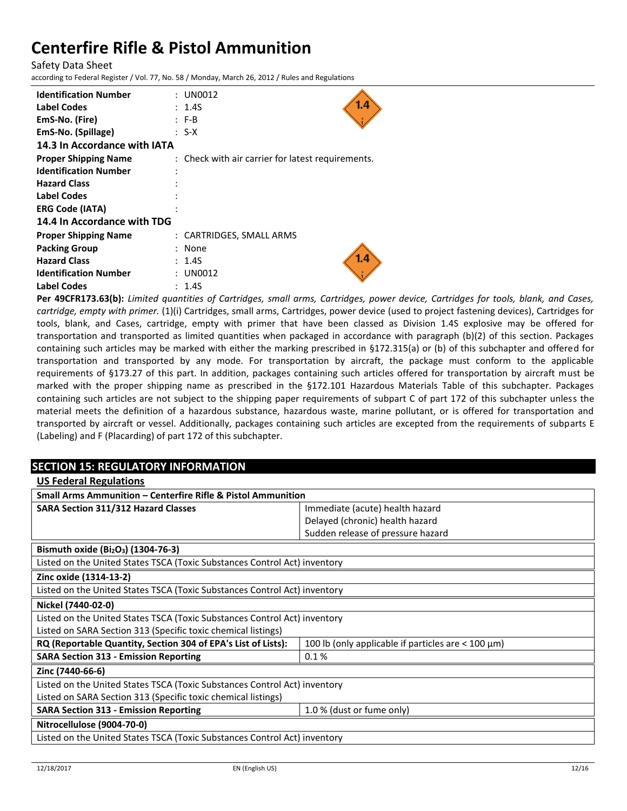Safety Data Sheet

according to Federal Register / Vol. 77, No. 58 / Monday, March 26, 2012 / Rules and Regulations

| <b>Identification Number</b><br>Label Codes<br>EmS-No. (Fire)<br>EmS-No. (Spillage)<br>14.3 In Accordance with IATA | : UN0012<br>1.4<br>: 1.4S<br>$: F-B$<br>: S-X     |
|---------------------------------------------------------------------------------------------------------------------|---------------------------------------------------|
| <b>Proper Shipping Name</b>                                                                                         | : Check with air carrier for latest requirements. |
| <b>Identification Number</b>                                                                                        |                                                   |
| <b>Hazard Class</b>                                                                                                 |                                                   |
| <b>Label Codes</b>                                                                                                  |                                                   |
| <b>ERG Code (IATA)</b>                                                                                              |                                                   |
| 14.4 In Accordance with TDG                                                                                         |                                                   |
| <b>Proper Shipping Name</b>                                                                                         | : CARTRIDGES, SMALL ARMS                          |
| <b>Packing Group</b>                                                                                                | : None                                            |
| <b>Hazard Class</b>                                                                                                 | 1.4<br>: 1.4S                                     |
| <b>Identification Number</b>                                                                                        | UN0012                                            |
| Label Codes                                                                                                         | : 1.4S                                            |

**Per 49CFR173.63(b):** *Limited quantities of Cartridges, small arms, Cartridges, power device, Cartridges for tools, blank, and Cases, cartridge, empty with primer.* (1)(i) Cartridges, small arms, Cartridges, power device (used to project fastening devices), Cartridges for tools, blank, and Cases, cartridge, empty with primer that have been classed as Division 1.4S explosive may be offered for transportation and transported as limited quantities when packaged in accordance with paragraph (b)(2) of this section. Packages containing such articles may be marked with either the marking prescribed in §172.315(a) or (b) of this subchapter and offered for transportation and transported by any mode. For transportation by aircraft, the package must conform to the applicable requirements of §173.27 of this part. In addition, packages containing such articles offered for transportation by aircraft must be marked with the proper shipping name as prescribed in the §172.101 Hazardous Materials Table of this subchapter. Packages containing such articles are not subject to the shipping paper requirements of subpart C of part 172 of this subchapter unless the material meets the definition of a hazardous substance, hazardous waste, marine pollutant, or is offered for transportation and transported by aircraft or vessel. Additionally, packages containing such articles are excepted from the requirements of subparts E (Labeling) and F (Placarding) of part 172 of this subchapter.

## **SECTION 15: REGULATORY INFORMATION**

| <b>US Federal Regulations</b>                                                                                              |                                   |
|----------------------------------------------------------------------------------------------------------------------------|-----------------------------------|
| Small Arms Ammunition – Centerfire Rifle & Pistol Ammunition                                                               |                                   |
| <b>SARA Section 311/312 Hazard Classes</b>                                                                                 | Immediate (acute) health hazard   |
|                                                                                                                            | Delayed (chronic) health hazard   |
|                                                                                                                            | Sudden release of pressure hazard |
| Bismuth oxide (Bi <sub>2</sub> O <sub>3</sub> ) (1304-76-3)                                                                |                                   |
| Listed on the United States TSCA (Toxic Substances Control Act) inventory                                                  |                                   |
| Zinc oxide (1314-13-2)                                                                                                     |                                   |
| Listed on the United States TSCA (Toxic Substances Control Act) inventory                                                  |                                   |
| Nickel (7440-02-0)                                                                                                         |                                   |
| Listed on the United States TSCA (Toxic Substances Control Act) inventory                                                  |                                   |
| Listed on SARA Section 313 (Specific toxic chemical listings)                                                              |                                   |
| RQ (Reportable Quantity, Section 304 of EPA's List of Lists):<br>100 lb (only applicable if particles are $<$ 100 $\mu$ m) |                                   |
| <b>SARA Section 313 - Emission Reporting</b>                                                                               | 0.1%                              |
| Zinc (7440-66-6)                                                                                                           |                                   |
| Listed on the United States TSCA (Toxic Substances Control Act) inventory                                                  |                                   |
| Listed on SARA Section 313 (Specific toxic chemical listings)                                                              |                                   |
| <b>SARA Section 313 - Emission Reporting</b>                                                                               | 1.0 % (dust or fume only)         |
| Nitrocellulose (9004-70-0)                                                                                                 |                                   |
| Listed on the United States TSCA (Toxic Substances Control Act) inventory                                                  |                                   |
|                                                                                                                            |                                   |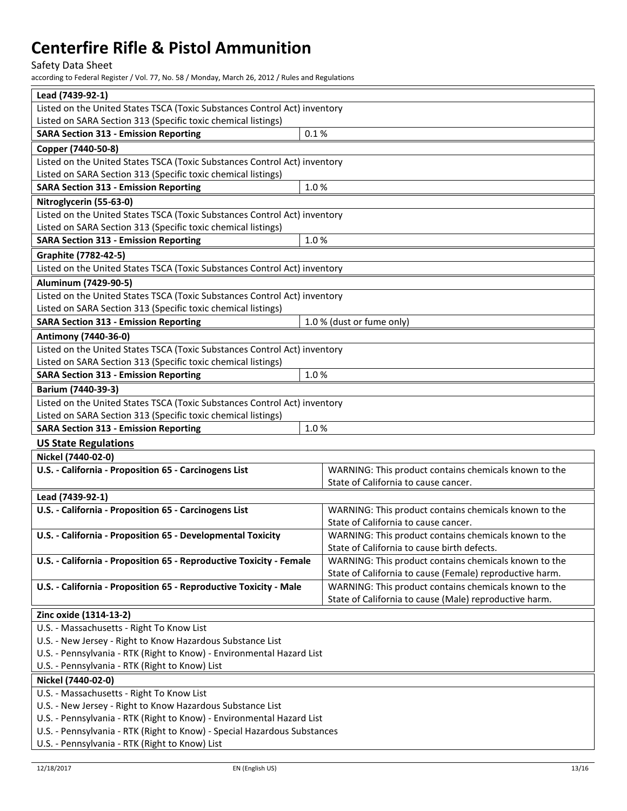## Safety Data Sheet

| Lead (7439-92-1)                                                                                                                                  |                                                          |  |
|---------------------------------------------------------------------------------------------------------------------------------------------------|----------------------------------------------------------|--|
| Listed on the United States TSCA (Toxic Substances Control Act) inventory                                                                         |                                                          |  |
| Listed on SARA Section 313 (Specific toxic chemical listings)                                                                                     |                                                          |  |
| <b>SARA Section 313 - Emission Reporting</b>                                                                                                      | 0.1%                                                     |  |
| Copper (7440-50-8)                                                                                                                                |                                                          |  |
| Listed on the United States TSCA (Toxic Substances Control Act) inventory                                                                         |                                                          |  |
| Listed on SARA Section 313 (Specific toxic chemical listings)                                                                                     |                                                          |  |
| <b>SARA Section 313 - Emission Reporting</b>                                                                                                      | 1.0%                                                     |  |
| Nitroglycerin (55-63-0)                                                                                                                           |                                                          |  |
| Listed on the United States TSCA (Toxic Substances Control Act) inventory                                                                         |                                                          |  |
| Listed on SARA Section 313 (Specific toxic chemical listings)                                                                                     |                                                          |  |
| <b>SARA Section 313 - Emission Reporting</b>                                                                                                      | 1.0%                                                     |  |
| Graphite (7782-42-5)                                                                                                                              |                                                          |  |
| Listed on the United States TSCA (Toxic Substances Control Act) inventory                                                                         |                                                          |  |
| Aluminum (7429-90-5)                                                                                                                              |                                                          |  |
| Listed on the United States TSCA (Toxic Substances Control Act) inventory                                                                         |                                                          |  |
| Listed on SARA Section 313 (Specific toxic chemical listings)                                                                                     |                                                          |  |
| <b>SARA Section 313 - Emission Reporting</b>                                                                                                      | 1.0 % (dust or fume only)                                |  |
| Antimony (7440-36-0)                                                                                                                              |                                                          |  |
| Listed on the United States TSCA (Toxic Substances Control Act) inventory                                                                         |                                                          |  |
| Listed on SARA Section 313 (Specific toxic chemical listings)                                                                                     |                                                          |  |
| <b>SARA Section 313 - Emission Reporting</b>                                                                                                      | 1.0%                                                     |  |
| Barium (7440-39-3)                                                                                                                                |                                                          |  |
| Listed on the United States TSCA (Toxic Substances Control Act) inventory                                                                         |                                                          |  |
| Listed on SARA Section 313 (Specific toxic chemical listings)                                                                                     |                                                          |  |
| <b>SARA Section 313 - Emission Reporting</b>                                                                                                      | 1.0%                                                     |  |
| <b>US State Regulations</b>                                                                                                                       |                                                          |  |
| Nickel (7440-02-0)                                                                                                                                |                                                          |  |
| U.S. - California - Proposition 65 - Carcinogens List                                                                                             | WARNING: This product contains chemicals known to the    |  |
|                                                                                                                                                   | State of California to cause cancer.                     |  |
| Lead (7439-92-1)                                                                                                                                  |                                                          |  |
| U.S. - California - Proposition 65 - Carcinogens List                                                                                             | WARNING: This product contains chemicals known to the    |  |
|                                                                                                                                                   | State of California to cause cancer.                     |  |
| U.S. - California - Proposition 65 - Developmental Toxicity                                                                                       | WARNING: This product contains chemicals known to the    |  |
|                                                                                                                                                   | State of California to cause birth defects.              |  |
| U.S. - California - Proposition 65 - Reproductive Toxicity - Female                                                                               | WARNING: This product contains chemicals known to the    |  |
|                                                                                                                                                   | State of California to cause (Female) reproductive harm. |  |
| U.S. - California - Proposition 65 - Reproductive Toxicity - Male                                                                                 | WARNING: This product contains chemicals known to the    |  |
|                                                                                                                                                   | State of California to cause (Male) reproductive harm.   |  |
| Zinc oxide (1314-13-2)                                                                                                                            |                                                          |  |
| U.S. - Massachusetts - Right To Know List                                                                                                         |                                                          |  |
| U.S. - New Jersey - Right to Know Hazardous Substance List                                                                                        |                                                          |  |
| U.S. - Pennsylvania - RTK (Right to Know) - Environmental Hazard List                                                                             |                                                          |  |
| U.S. - Pennsylvania - RTK (Right to Know) List                                                                                                    |                                                          |  |
| Nickel (7440-02-0)                                                                                                                                |                                                          |  |
| U.S. - Massachusetts - Right To Know List                                                                                                         |                                                          |  |
| U.S. - New Jersey - Right to Know Hazardous Substance List                                                                                        |                                                          |  |
| U.S. - Pennsylvania - RTK (Right to Know) - Environmental Hazard List<br>U.S. - Pennsylvania - RTK (Right to Know) - Special Hazardous Substances |                                                          |  |
| U.S. - Pennsylvania - RTK (Right to Know) List                                                                                                    |                                                          |  |
|                                                                                                                                                   |                                                          |  |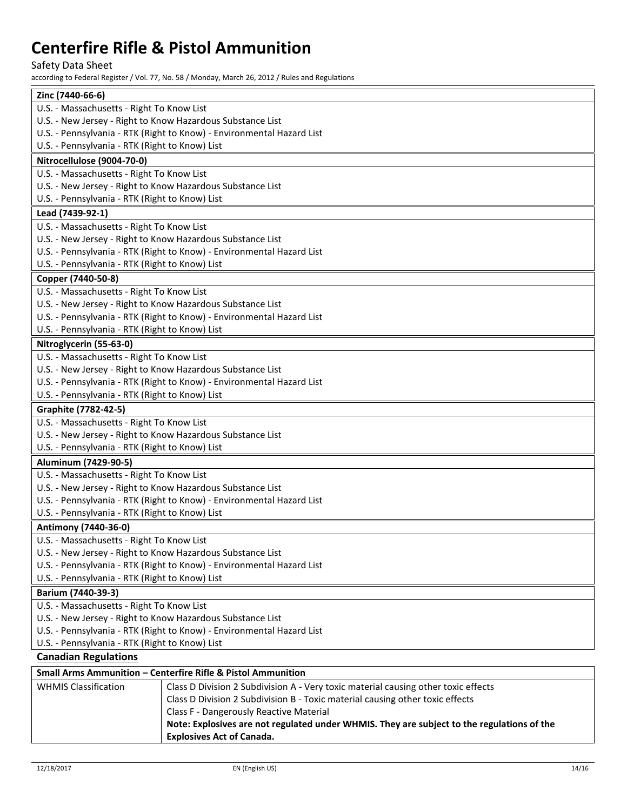## Safety Data Sheet

| Zinc (7440-66-6)                                                      |
|-----------------------------------------------------------------------|
| U.S. - Massachusetts - Right To Know List                             |
| U.S. - New Jersey - Right to Know Hazardous Substance List            |
| U.S. - Pennsylvania - RTK (Right to Know) - Environmental Hazard List |
| U.S. - Pennsylvania - RTK (Right to Know) List                        |
| Nitrocellulose (9004-70-0)                                            |
| U.S. - Massachusetts - Right To Know List                             |
| U.S. - New Jersey - Right to Know Hazardous Substance List            |
| U.S. - Pennsylvania - RTK (Right to Know) List                        |
| Lead (7439-92-1)                                                      |
| U.S. - Massachusetts - Right To Know List                             |
| U.S. - New Jersey - Right to Know Hazardous Substance List            |
| U.S. - Pennsylvania - RTK (Right to Know) - Environmental Hazard List |
| U.S. - Pennsylvania - RTK (Right to Know) List                        |
| Copper (7440-50-8)                                                    |
| U.S. - Massachusetts - Right To Know List                             |
| U.S. - New Jersey - Right to Know Hazardous Substance List            |
| U.S. - Pennsylvania - RTK (Right to Know) - Environmental Hazard List |
| U.S. - Pennsylvania - RTK (Right to Know) List                        |
| Nitroglycerin (55-63-0)                                               |
| U.S. - Massachusetts - Right To Know List                             |
| U.S. - New Jersey - Right to Know Hazardous Substance List            |
| U.S. - Pennsylvania - RTK (Right to Know) - Environmental Hazard List |
| U.S. - Pennsylvania - RTK (Right to Know) List                        |
| Graphite (7782-42-5)                                                  |
| U.S. - Massachusetts - Right To Know List                             |
| U.S. - New Jersey - Right to Know Hazardous Substance List            |
| U.S. - Pennsylvania - RTK (Right to Know) List                        |
| Aluminum (7429-90-5)                                                  |
| U.S. - Massachusetts - Right To Know List                             |
| U.S. - New Jersey - Right to Know Hazardous Substance List            |
| U.S. - Pennsylvania - RTK (Right to Know) - Environmental Hazard List |
| U.S. - Pennsylvania - RTK (Right to Know) List                        |
| Antimony (7440-36-0)                                                  |
| U.S. - Massachusetts - Right To Know List                             |
| U.S. - New Jersey - Right to Know Hazardous Substance List            |
| U.S. - Pennsylvania - RTK (Right to Know) - Environmental Hazard List |
| U.S. - Pennsylvania - RTK (Right to Know) List                        |
| Barium (7440-39-3)                                                    |
| U.S. - Massachusetts - Right To Know List                             |
| U.S. - New Jersey - Right to Know Hazardous Substance List            |
| U.S. - Pennsylvania - RTK (Right to Know) - Environmental Hazard List |
| U.S. - Pennsylvania - RTK (Right to Know) List                        |
| <b>Canadian Regulations</b>                                           |
| Small Arms Ammunition - Centerfire Rifle & Pistol Ammunition          |

| <u> Siliali Alliis Alliiluliiluuli – Celiteriile Kille &amp; Fistol Alliiliuliituuli</u> |                                                                                            |
|------------------------------------------------------------------------------------------|--------------------------------------------------------------------------------------------|
| <b>WHMIS Classification</b>                                                              | Class D Division 2 Subdivision A - Very toxic material causing other toxic effects         |
|                                                                                          | Class D Division 2 Subdivision B - Toxic material causing other toxic effects              |
|                                                                                          | Class F - Dangerously Reactive Material                                                    |
|                                                                                          | Note: Explosives are not regulated under WHMIS. They are subject to the regulations of the |
|                                                                                          | <b>Explosives Act of Canada.</b>                                                           |
|                                                                                          |                                                                                            |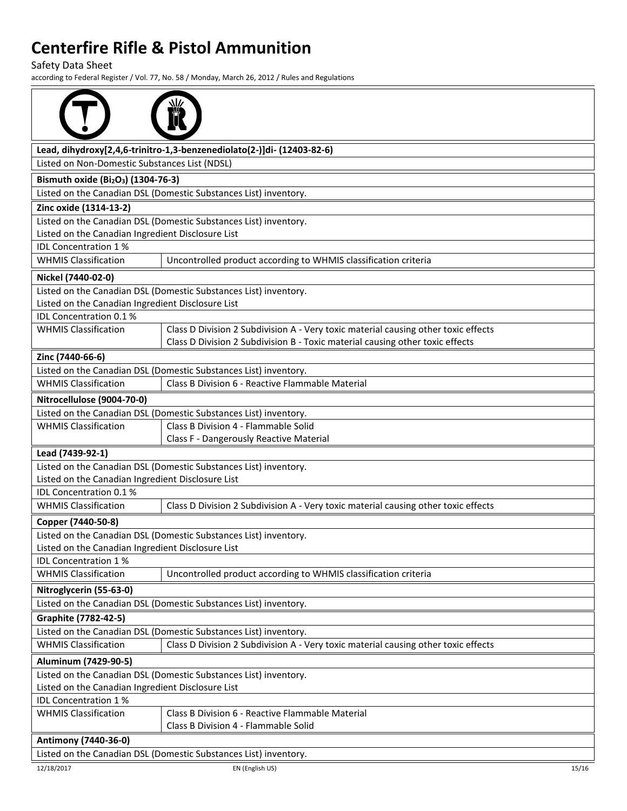Safety Data Sheet

|                                                                                                                       | Lead, dihydroxy[2,4,6-trinitro-1,3-benzenediolato(2-)]di- (12403-82-6)             |  |
|-----------------------------------------------------------------------------------------------------------------------|------------------------------------------------------------------------------------|--|
| Listed on Non-Domestic Substances List (NDSL)                                                                         |                                                                                    |  |
| Bismuth oxide (Bi <sub>2</sub> O <sub>3</sub> ) (1304-76-3)                                                           |                                                                                    |  |
|                                                                                                                       | Listed on the Canadian DSL (Domestic Substances List) inventory.                   |  |
| Zinc oxide (1314-13-2)                                                                                                |                                                                                    |  |
|                                                                                                                       | Listed on the Canadian DSL (Domestic Substances List) inventory.                   |  |
| Listed on the Canadian Ingredient Disclosure List                                                                     |                                                                                    |  |
| IDL Concentration 1%                                                                                                  |                                                                                    |  |
| <b>WHMIS Classification</b>                                                                                           | Uncontrolled product according to WHMIS classification criteria                    |  |
| Nickel (7440-02-0)                                                                                                    |                                                                                    |  |
|                                                                                                                       | Listed on the Canadian DSL (Domestic Substances List) inventory.                   |  |
| Listed on the Canadian Ingredient Disclosure List                                                                     |                                                                                    |  |
| IDL Concentration 0.1 %                                                                                               |                                                                                    |  |
| <b>WHMIS Classification</b>                                                                                           | Class D Division 2 Subdivision A - Very toxic material causing other toxic effects |  |
|                                                                                                                       | Class D Division 2 Subdivision B - Toxic material causing other toxic effects      |  |
| Zinc (7440-66-6)                                                                                                      |                                                                                    |  |
|                                                                                                                       | Listed on the Canadian DSL (Domestic Substances List) inventory.                   |  |
| <b>WHMIS Classification</b>                                                                                           | Class B Division 6 - Reactive Flammable Material                                   |  |
| Nitrocellulose (9004-70-0)                                                                                            |                                                                                    |  |
|                                                                                                                       | Listed on the Canadian DSL (Domestic Substances List) inventory.                   |  |
| <b>WHMIS Classification</b>                                                                                           | Class B Division 4 - Flammable Solid                                               |  |
|                                                                                                                       | Class F - Dangerously Reactive Material                                            |  |
| Lead (7439-92-1)                                                                                                      |                                                                                    |  |
|                                                                                                                       | Listed on the Canadian DSL (Domestic Substances List) inventory.                   |  |
| Listed on the Canadian Ingredient Disclosure List                                                                     |                                                                                    |  |
| <b>IDL Concentration 0.1%</b>                                                                                         |                                                                                    |  |
| <b>WHMIS Classification</b>                                                                                           | Class D Division 2 Subdivision A - Very toxic material causing other toxic effects |  |
| Copper (7440-50-8)                                                                                                    |                                                                                    |  |
|                                                                                                                       | Listed on the Canadian DSL (Domestic Substances List) inventory.                   |  |
| Listed on the Canadian Ingredient Disclosure List                                                                     |                                                                                    |  |
| <b>IDL Concentration 1%</b>                                                                                           |                                                                                    |  |
| <b>WHMIS Classification</b>                                                                                           | Uncontrolled product according to WHMIS classification criteria                    |  |
| Nitroglycerin (55-63-0)                                                                                               |                                                                                    |  |
|                                                                                                                       | Listed on the Canadian DSL (Domestic Substances List) inventory.                   |  |
| Graphite (7782-42-5)                                                                                                  |                                                                                    |  |
|                                                                                                                       | Listed on the Canadian DSL (Domestic Substances List) inventory.                   |  |
| <b>WHMIS Classification</b>                                                                                           | Class D Division 2 Subdivision A - Very toxic material causing other toxic effects |  |
| Aluminum (7429-90-5)                                                                                                  |                                                                                    |  |
|                                                                                                                       |                                                                                    |  |
| Listed on the Canadian DSL (Domestic Substances List) inventory.<br>Listed on the Canadian Ingredient Disclosure List |                                                                                    |  |
| IDL Concentration 1%                                                                                                  |                                                                                    |  |
| <b>WHMIS Classification</b>                                                                                           | Class B Division 6 - Reactive Flammable Material                                   |  |
|                                                                                                                       | Class B Division 4 - Flammable Solid                                               |  |
| Antimony (7440-36-0)                                                                                                  |                                                                                    |  |
| Listed on the Canadian DSL (Domestic Substances List) inventory.                                                      |                                                                                    |  |